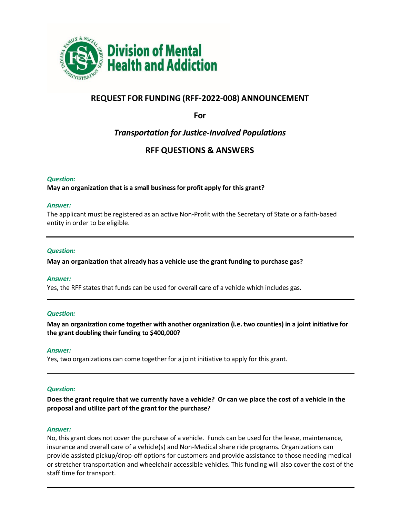

# **REQUEST FOR FUNDING (RFF-2022-008) ANNOUNCEMENT**

**For**

# *Transportation for Justice-Involved Populations*

# **RFF QUESTIONS & ANSWERS**

# *Question:*

**May an organization that is a small business for profit apply for this grant?**

# *Answer:*

The applicant must be registered as an active Non-Profit with the Secretary of State or a faith-based entity in order to be eligible.

# *Question:*

**May an organization that already has a vehicle use the grant funding to purchase gas?**

# *Answer:*

Yes, the RFF states that funds can be used for overall care of a vehicle which includes gas.

# *Question:*

**May an organization come together with another organization (i.e. two counties) in a joint initiative for the grant doubling their funding to \$400,000?** 

# *Answer:*

Yes, two organizations can come together for a joint initiative to apply for this grant.

# *Question:*

**Does the grant require that we currently have a vehicle? Or can we place the cost of a vehicle in the proposal and utilize part of the grant for the purchase?** 

# *Answer:*

No, this grant does not cover the purchase of a vehicle. Funds can be used for the lease, maintenance, insurance and overall care of a vehicle(s) and Non-Medical share ride programs. Organizations can provide assisted pickup/drop-off options for customers and provide assistance to those needing medical or stretcher transportation and wheelchair accessible vehicles. This funding will also cover the cost of the staff time for transport.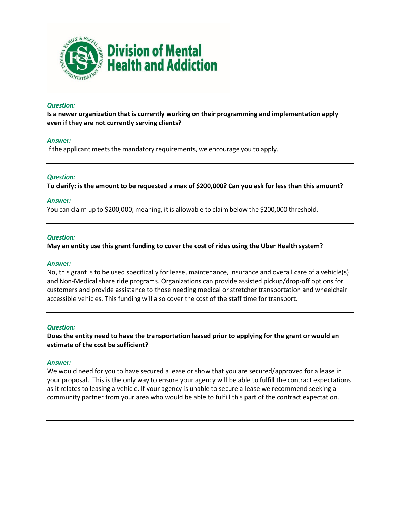

# *Question:*

**Is a newer organization that is currently working on their programming and implementation apply even if they are not currently serving clients?** 

# *Answer:*

If the applicant meets the mandatory requirements, we encourage you to apply.

# *Question:*

**To clarify: is the amount to be requested a max of \$200,000? Can you ask for less than this amount?**

# *Answer:*

You can claim up to \$200,000; meaning, it is allowable to claim below the \$200,000 threshold.

# *Question:*

**May an entity use this grant funding to cover the cost of rides using the Uber Health system?**

# *Answer:*

No, this grant is to be used specifically for lease, maintenance, insurance and overall care of a vehicle(s) and Non-Medical share ride programs. Organizations can provide assisted pickup/drop-off options for customers and provide assistance to those needing medical or stretcher transportation and wheelchair accessible vehicles. This funding will also cover the cost of the staff time for transport.

# *Question:*

**Does the entity need to have the transportation leased prior to applying for the grant or would an estimate of the cost be sufficient?**

# *Answer:*

We would need for you to have secured a lease or show that you are secured/approved for a lease in your proposal. This is the only way to ensure your agency will be able to fulfill the contract expectations as it relates to leasing a vehicle. If your agency is unable to secure a lease we recommend seeking a community partner from your area who would be able to fulfill this part of the contract expectation.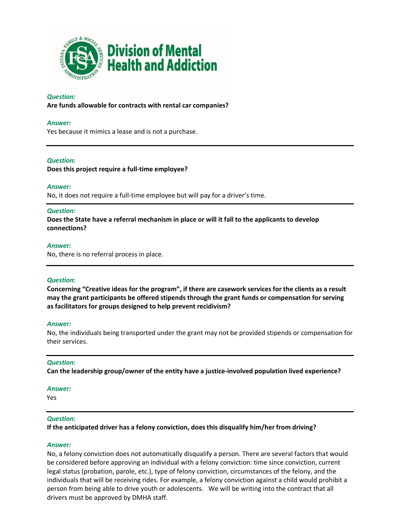

# *Question:*

**Are funds allowable for contracts with rental car companies?**

# *Answer:*

Yes because it mimics a lease and is not a purchase.

# *Question:*

**Does this project require a full-time employee?**

### *Answer:*

No, it does not require a full-time employee but will pay for a driver's time.

#### *Question:*

**Does the State have a referral mechanism in place or will it fall to the applicants to develop connections?**

#### *Answer:*

No, there is no referral process in place.

# *Question:*

**Concerning "Creative ideas for the program", if there are casework services for the clients as a result may the grant participants be offered stipends through the grant funds or compensation for serving as facilitators for groups designed to help prevent recidivism?**

#### *Answer:*

No, the individuals being transported under the grant may not be provided stipends or compensation for their services.

# *Question:*

**Can the leadership group/owner of the entity have a justice-involved population lived experience?** 

#### *Answer:*

Yes

# *Question:*

**If the anticipated driver has a felony conviction, does this disqualify him/her from driving?**

# *Answer:*

No, a felony conviction does not automatically disqualify a person. There are several factors that would be considered before approving an individual with a felony conviction: time since conviction, current legal status (probation, parole, etc.), type of felony conviction, circumstances of the felony, and the individuals that will be receiving rides. For example, a felony conviction against a child would prohibit a person from being able to drive youth or adolescents. We will be writing into the contract that all drivers must be approved by DMHA staff.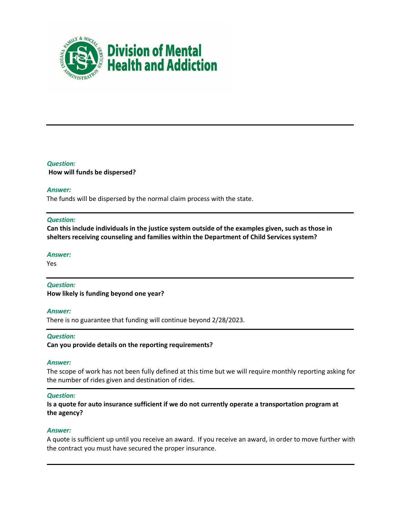

# *Question:* **How will funds be dispersed?**

# *Answer:*

The funds will be dispersed by the normal claim process with the state.

# *Question:*

**Can this include individuals in the justice system outside of the examples given, such as those in shelters receiving counseling and families within the Department of Child Services system?** 

# *Answer:*

Yes

# *Question:*

**How likely is funding beyond one year?** 

# *Answer:*

There is no guarantee that funding will continue beyond 2/28/2023.

# *Question:*

**Can you provide details on the reporting requirements?** 

# *Answer:*

The scope of work has not been fully defined at this time but we will require monthly reporting asking for the number of rides given and destination of rides.

# *Question:*

**Is a quote for auto insurance sufficient if we do not currently operate a transportation program at the agency?** 

# *Answer:*

A quote is sufficient up until you receive an award. If you receive an award, in order to move further with the contract you must have secured the proper insurance.